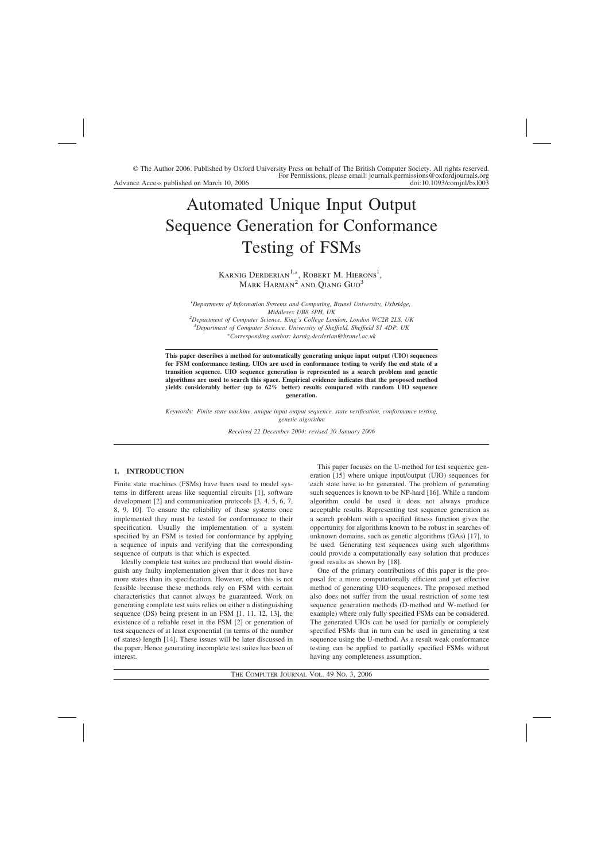# Automated Unique Input Output Sequence Generation for Conformance Testing of FSMs

KARNIG DERDERIAN<sup>1,\*</sup>, ROBERT M. HIERONS<sup>1</sup>, Mark Harman $^2$  and Qiang Guo $^3$ 

 ${}^{1}$ Department of Information Systems and Computing, Brunel University, Uxbridge, Middlesex UB8 3PH, UK<br><sup>2</sup>Department of Computer Science, King's College London, London WC2R 2LS, UK

 ${}^{3}$ Department of Computer Science, University of Sheffield, Sheffield S1 4DP, UK Corresponding author: karnig.derderian@brunel.ac.uk

This paper describes a method for automatically generating unique input output (UIO) sequences for FSM conformance testing. UIOs are used in conformance testing to verify the end state of a transition sequence. UIO sequence generation is represented as a search problem and genetic algorithms are used to search this space. Empirical evidence indicates that the proposed method yields considerably better (up to 62% better) results compared with random UIO sequence generation.

Keywords: Finite state machine, unique input output sequence, state verification, conformance testing, genetic algorithm

Received 22 December 2004; revised 30 January 2006

# 1. INTRODUCTION

Finite state machines (FSMs) have been used to model systems in different areas like sequential circuits [1], software development [2] and communication protocols [3, 4, 5, 6, 7, 8, 9, 10]. To ensure the reliability of these systems once implemented they must be tested for conformance to their specification. Usually the implementation of a system specified by an FSM is tested for conformance by applying a sequence of inputs and verifying that the corresponding sequence of outputs is that which is expected.

Ideally complete test suites are produced that would distinguish any faulty implementation given that it does not have more states than its specification. However, often this is not feasible because these methods rely on FSM with certain characteristics that cannot always be guaranteed. Work on generating complete test suits relies on either a distinguishing sequence (DS) being present in an FSM [1, 11, 12, 13], the existence of a reliable reset in the FSM [2] or generation of test sequences of at least exponential (in terms of the number of states) length [14]. These issues will be later discussed in the paper. Hence generating incomplete test suites has been of interest.

This paper focuses on the U-method for test sequence generation [15] where unique input/output (UIO) sequences for each state have to be generated. The problem of generating such sequences is known to be NP-hard [16]. While a random algorithm could be used it does not always produce acceptable results. Representing test sequence generation as a search problem with a specified fitness function gives the opportunity for algorithms known to be robust in searches of unknown domains, such as genetic algorithms (GAs) [17], to be used. Generating test sequences using such algorithms could provide a computationally easy solution that produces good results as shown by [18].

One of the primary contributions of this paper is the proposal for a more computationally efficient and yet effective method of generating UIO sequences. The proposed method also does not suffer from the usual restriction of some test sequence generation methods (D-method and W-method for example) where only fully specified FSMs can be considered. The generated UIOs can be used for partially or completely specified FSMs that in turn can be used in generating a test sequence using the U-method. As a result weak conformance testing can be applied to partially specified FSMs without having any completeness assumption.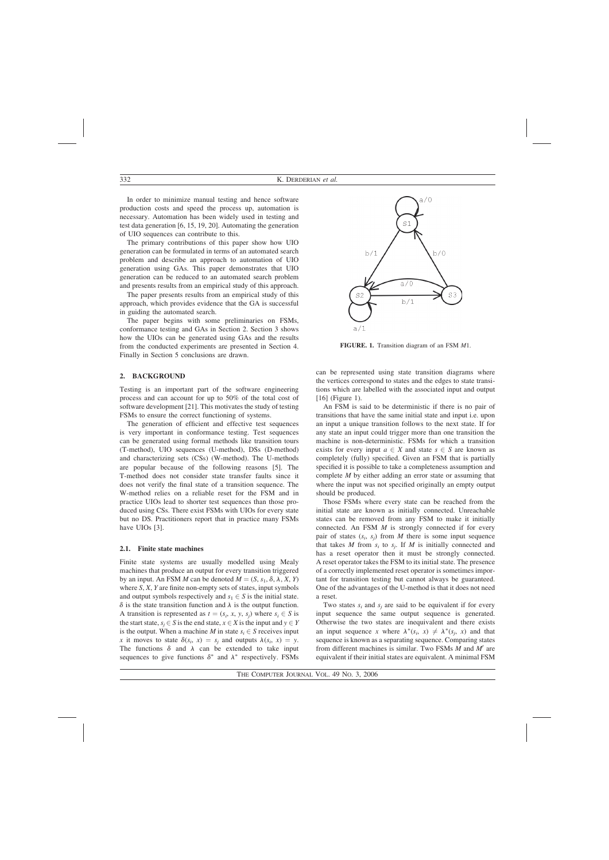332 K. DERDERIAN et al.

In order to minimize manual testing and hence software production costs and speed the process up, automation is necessary. Automation has been widely used in testing and test data generation [6, 15, 19, 20]. Automating the generation of UIO sequences can contribute to this.

The primary contributions of this paper show how UIO generation can be formulated in terms of an automated search problem and describe an approach to automation of UIO generation using GAs. This paper demonstrates that UIO generation can be reduced to an automated search problem and presents results from an empirical study of this approach.

The paper presents results from an empirical study of this approach, which provides evidence that the GA is successful in guiding the automated search.

The paper begins with some preliminaries on FSMs, conformance testing and GAs in Section 2. Section 3 shows how the UIOs can be generated using GAs and the results from the conducted experiments are presented in Section 4. Finally in Section 5 conclusions are drawn.

## 2. BACKGROUND

Testing is an important part of the software engineering process and can account for up to 50% of the total cost of software development [21]. This motivates the study of testing FSMs to ensure the correct functioning of systems.

The generation of efficient and effective test sequences is very important in conformance testing. Test sequences can be generated using formal methods like transition tours (T-method), UIO sequences (U-method), DSs (D-method) and characterizing sets (CSs) (W-method). The U-methods are popular because of the following reasons [5]. The T-method does not consider state transfer faults since it does not verify the final state of a transition sequence. The W-method relies on a reliable reset for the FSM and in practice UIOs lead to shorter test sequences than those produced using CSs. There exist FSMs with UIOs for every state but no DS. Practitioners report that in practice many FSMs have UIOs [3].

## 2.1. Finite state machines

Finite state systems are usually modelled using Mealy machines that produce an output for every transition triggered by an input. An FSM *M* can be denoted  $M = (S, s_1, \delta, \lambda, X, Y)$ where  $S, X, Y$  are finite non-empty sets of states, input symbols and output symbols respectively and  $s_1 \in S$  is the initial state.  $\delta$  is the state transition function and  $\lambda$  is the output function. A transition is represented as  $t = (s_i, x, y, s_j)$  where  $s_i \in S$  is the start state,  $s_i \in S$  is the end state,  $x \in X$  is the input and  $y \in Y$ is the output. When a machine M in state  $s_i \in S$  receives input x it moves to state  $\delta(s_i, x) = s_i$  and outputs  $\lambda(s_i, x) = y$ . The functions  $\delta$  and  $\lambda$  can be extended to take input sequences to give functions  $\delta^*$  and  $\lambda^*$  respectively. FSMs



FIGURE. 1. Transition diagram of an FSM M1.

can be represented using state transition diagrams where the vertices correspond to states and the edges to state transitions which are labelled with the associated input and output [16] (Figure 1).

An FSM is said to be deterministic if there is no pair of transitions that have the same initial state and input i.e. upon an input a unique transition follows to the next state. If for any state an input could trigger more than one transition the machine is non-deterministic. FSMs for which a transition exists for every input  $a \in X$  and state  $s \in S$  are known as completely (fully) specified. Given an FSM that is partially specified it is possible to take a completeness assumption and complete M by either adding an error state or assuming that where the input was not specified originally an empty output should be produced.

Those FSMs where every state can be reached from the initial state are known as initially connected. Unreachable states can be removed from any FSM to make it initially connected. An FSM  $M$  is strongly connected if for every pair of states  $(s_i, s_j)$  from M there is some input sequence that takes  $M$  from  $s_i$  to  $s_j$ . If  $M$  is initially connected and has a reset operator then it must be strongly connected. A reset operator takes the FSM to its initial state. The presence of a correctly implemented reset operator is sometimes important for transition testing but cannot always be guaranteed. One of the advantages of the U-method is that it does not need a reset.

Two states  $s_i$  and  $s_j$  are said to be equivalent if for every input sequence the same output sequence is generated. Otherwise the two states are inequivalent and there exists an input sequence x where  $\lambda^*(s_i, x) \neq \lambda^*(s_j, x)$  and that sequence is known as a separating sequence. Comparing states from different machines is similar. Two FSMs  $M$  and  $M'$  are equivalent if their initial states are equivalent. A minimal FSM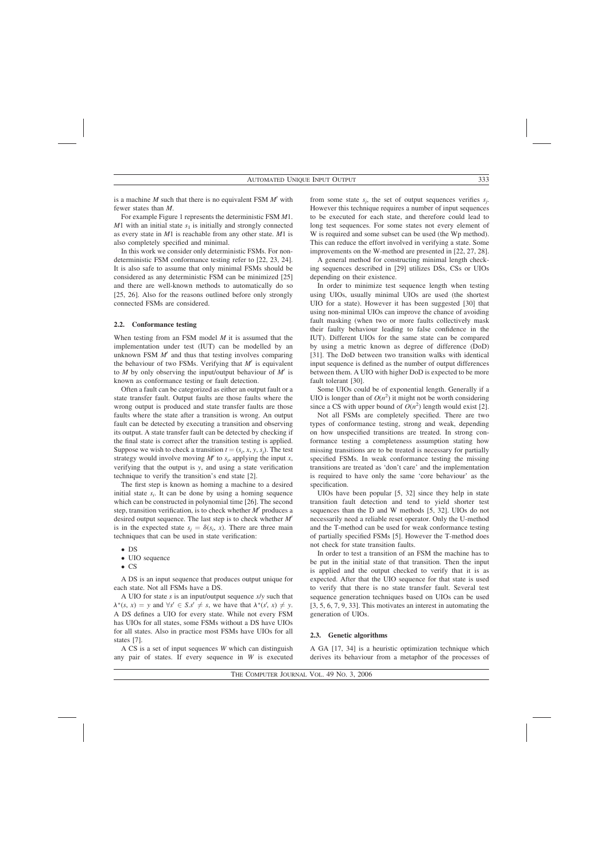is a machine  $M$  such that there is no equivalent FSM  $M'$  with fewer states than M.

For example Figure 1 represents the deterministic FSM M1. M1 with an initial state  $s_1$  is initially and strongly connected as every state in M1 is reachable from any other state. M1 is also completely specified and minimal.

In this work we consider only deterministic FSMs. For nondeterministic FSM conformance testing refer to [22, 23, 24]. It is also safe to assume that only minimal FSMs should be considered as any deterministic FSM can be minimized [25] and there are well-known methods to automatically do so [25, 26]. Also for the reasons outlined before only strongly connected FSMs are considered.

## 2.2. Conformance testing

When testing from an FSM model  $M$  it is assumed that the implementation under test (IUT) can be modelled by an unknown FSM  $M'$  and thus that testing involves comparing the behaviour of two FSMs. Verifying that  $M'$  is equivalent to M by only observing the input/output behaviour of  $M'$  is known as conformance testing or fault detection.

Often a fault can be categorized as either an output fault or a state transfer fault. Output faults are those faults where the wrong output is produced and state transfer faults are those faults where the state after a transition is wrong. An output fault can be detected by executing a transition and observing its output. A state transfer fault can be detected by checking if the final state is correct after the transition testing is applied. Suppose we wish to check a transition  $t = (s_i, x, y, s_j)$ . The test strategy would involve moving  $M'$  to  $s_i$ , applying the input x, verifying that the output is y, and using a state verification technique to verify the transition's end state [2].

The first step is known as homing a machine to a desired initial state  $s_i$ . It can be done by using a homing sequence which can be constructed in polynomial time [26]. The second step, transition verification, is to check whether  $M'$  produces a desired output sequence. The last step is to check whether  $M'$ is in the expected state  $s_i = \delta(s_i, x)$ . There are three main techniques that can be used in state verification:

- DS
- UIO sequence
- $\bullet$  CS

A DS is an input sequence that produces output unique for each state. Not all FSMs have a DS.

A UIO for state  $s$  is an input/output sequence  $x/y$  such that  $\lambda^*(s, x) = y$  and  $\forall s' \in S.s' \neq s$ , we have that  $\lambda^*(s', x) \neq y$ . A DS defines a UIO for every state. While not every FSM has UIOs for all states, some FSMs without a DS have UIOs for all states. Also in practice most FSMs have UIOs for all states [7].

A CS is a set of input sequences W which can distinguish any pair of states. If every sequence in W is executed from some state  $s_i$ , the set of output sequences verifies  $s_i$ . However this technique requires a number of input sequences to be executed for each state, and therefore could lead to long test sequences. For some states not every element of W is required and some subset can be used (the Wp method). This can reduce the effort involved in verifying a state. Some improvements on the W-method are presented in [22, 27, 28].

A general method for constructing minimal length checking sequences described in [29] utilizes DSs, CSs or UIOs depending on their existence.

In order to minimize test sequence length when testing using UIOs, usually minimal UIOs are used (the shortest UIO for a state). However it has been suggested [30] that using non-minimal UIOs can improve the chance of avoiding fault masking (when two or more faults collectiveły mask their faulty behaviour leading to false confidence in the IUT). Different UIOs for the same state can be compared by using a metric known as degree of difference (DoD) [31]. The DoD between two transition walks with identical input sequence is defined as the number of output differences between them. A UIO with higher DoD is expected to be more fault tolerant [30].

Some UIOs could be of exponential length. Generally if a UIO is longer than of  $O(n^2)$  it might not be worth considering since a CS with upper bound of  $O(n^2)$  length would exist [2].

Not all FSMs are completely specified. There are two types of conformance testing, strong and weak, depending on how unspecified transitions are treated. In strong conformance testing a completeness assumption stating how missing transitions are to be treated is necessary for partially specified FSMs. In weak conformance testing the missing transitions are treated as 'don't care' and the implementation is required to have only the same 'core behaviour' as the specification.

UIOs have been popular [5, 32] since they help in state transition fault detection and tend to yield shorter test sequences than the D and W methods [5, 32]. UIOs do not necessarily need a reliable reset operator. Only the U-method and the T-method can be used for weak conformance testing of partially specified FSMs [5]. However the T-method does not check for state transition faults.

In order to test a transition of an FSM the machine has to be put in the initial state of that transition. Then the input is applied and the output checked to verify that it is as expected. After that the UIO sequence for that state is used to verify that there is no state transfer fault. Several test sequence generation techniques based on UIOs can be used [3, 5, 6, 7, 9, 33]. This motivates an interest in automating the generation of UIOs.

#### 2.3. Genetic algorithms

A GA [17, 34] is a heuristic optimization technique which derives its behaviour from a metaphor of the processes of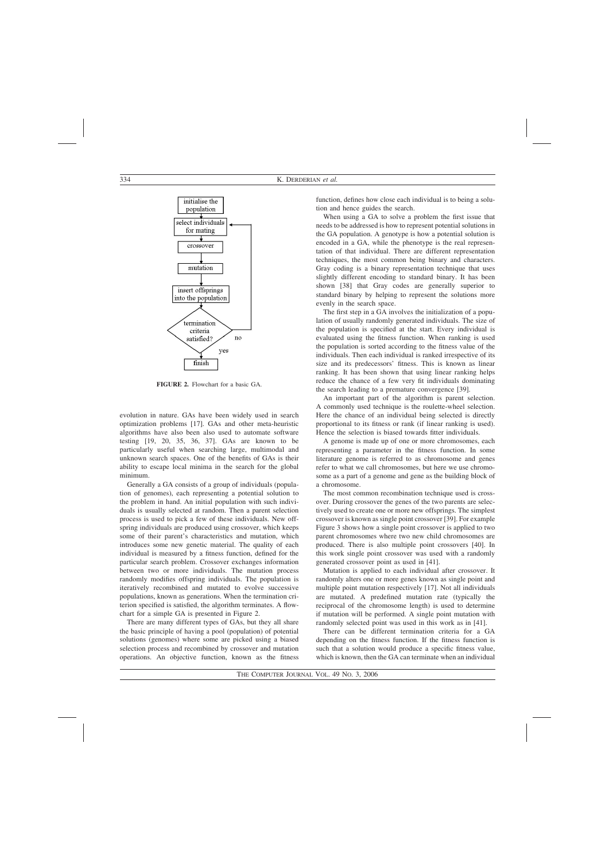

FIGURE 2. Flowchart for a basic GA.

evolution in nature. GAs have been wideły used in search optimization problems [17]. GAs and other meta-heuristic algorithms have also been also used to automate software testing [19, 20, 35, 36, 37]. GAs are known to be particularly useful when searching large, multimodal and unknown search spaces. One of the benefits of GAs is their ability to escape local minima in the search for the global minimum.

Generally a GA consists of a group of individuals (population of genomes), each representing a potential solution to the problem in hand. An initial population with such individuals is usually selected at random. Then a parent selection process is used to pick a few of these individuals. New offspring individuals are produced using crossover, which keeps some of their parent's characteristics and mutation, which introduces some new genetic material. The quality of each individual is measured by a fitness function, defined for the particular search problem. Crossover exchanges information between two or more individuals. The mutation process randomly modifies offspring individuals. The population is iteratively recombined and mutated to evolve successive populations, known as generations. When the termination criterion specified is satisfied, the algorithm terminates. A flowchart for a simple GA is presented in Figure 2.

There are many different types of GAs, but they all share the basic principle of having a pool (population) of potential solutions (genomes) where some are picked using a biased selection process and recombined by crossover and mutation operations. An objective function, known as the fitness function, defines how close each individual is to being a solution and hence guides the search.

When using a GA to solve a problem the first issue that needs to be addressed is how to represent potential solutions in the GA population. A genotype is how a potential solution is encoded in a GA, while the phenotype is the real representation of that individual. There are different representation techniques, the most common being binary and characters. Gray coding is a binary representation technique that uses slightly different encoding to standard binary. It has been shown [38] that Gray codes are generally superior to standard binary by helping to represent the solutions more evenly in the search space.

The first step in a GA involves the initialization of a population of usually randomly generated individuals. The size of the population is specified at the start. Every individual is evaluated using the fitness function. When ranking is used the population is sorted according to the fitness value of the individuals. Then each individual is ranked irrespective of its size and its predecessors' fitness. This is known as linear ranking. It has been shown that using linear ranking helps reduce the chance of a few very fit individuals dominating the search leading to a premature convergence [39].

An important part of the algorithm is parent selection. A commonly used technique is the roulette-wheel selection. Here the chance of an individual being selected is directly proportional to its fitness or rank (if linear ranking is used). Hence the selection is biased towards fitter individuals.

A genome is made up of one or more chromosomes, each representing a parameter in the fitness function. In some literature genome is referred to as chromosome and genes refer to what we call chromosomes, but here we use chromosome as a part of a genome and gene as the building block of a chromosome.

The most common recombination technique used is crossover. During crossover the genes of the two parents are selectively used to create one or more new offsprings. The simplest crossover is known as single point crossover [39]. For example Figure 3 shows how a single point crossover is applied to two parent chromosomes where two new child chromosomes are produced. There is also multiple point crossovers [40]. In this work single point crossover was used with a randomly generated crossover point as used in [41].

Mutation is applied to each individual after crossover. It randomly alters one or more genes known as single point and multiple point mutation respectively [17]. Not all individuals are mutated. A predefined mutation rate (typically the reciprocal of the chromosome length) is used to determine if mutation will be performed. A single point mutation with randomly selected point was used in this work as in [41].

There can be different termination criteria for a GA depending on the fitness function. If the fitness function is such that a solution would produce a specific fitness value, which is known, then the GA can terminate when an individual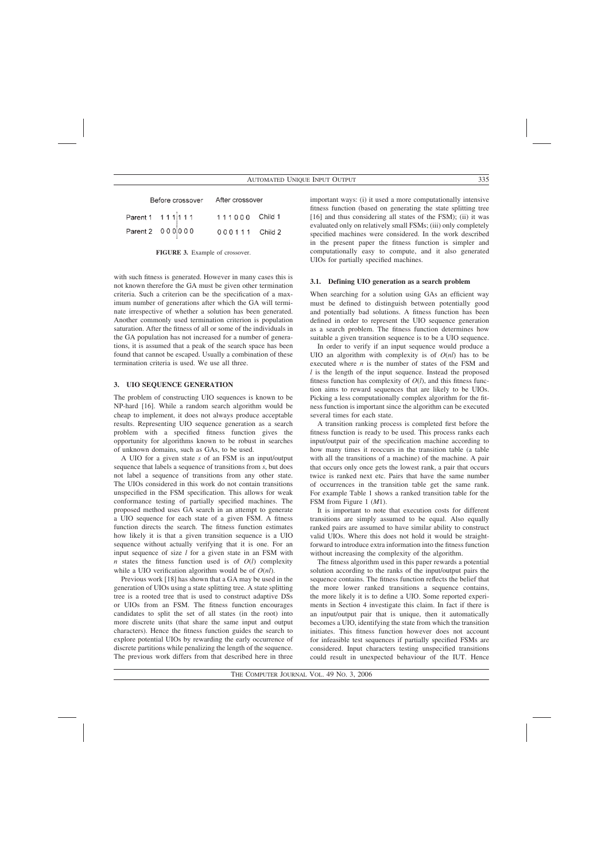| Before crossover |                        | After crossover |  |  |
|------------------|------------------------|-----------------|--|--|
|                  | Parent 1 1 1 1 1 1 1 1 | 111000 Child 1  |  |  |
|                  | Parent 2 000 00        | 000111 Child 2  |  |  |

FIGURE 3. Example of crossover.

with such fitness is generated. However in many cases this is not known therefore the GA must be given other termination criteria. Such a criterion can be the specification of a maximum number of generations after which the GA will terminate irrespective of whether a solution has been generated. Another commonly used termination criterion is population saturation. After the fitness of all or some of the individuals in the GA population has not increased for a number of generations, it is assumed that a peak of the search space has been found that cannot be escaped. Usually a combination of these termination criteria is used. We use all three.

# 3. UIO SEQUENCE GENERATION

The problem of constructing UIO sequences is known to be NP-hard [16]. While a random search algorithm would be cheap to implement, it does not always produce acceptable results. Representing UIO sequence generation as a search problem with a specified fitness function gives the opportunity for algorithms known to be robust in searches of unknown domains, such as GAs, to be used.

A UIO for a given state s of an FSM is an input/output sequence that labels a sequence of transitions from s, but does not label a sequence of transitions from any other state. The UIOs considered in this work do not contain transitions unspecified in the FSM specification. This allows for weak conformance testing of partially specified machines. The proposed method uses GA search in an attempt to generate a UIO sequence for each state of a given FSM. A fitness function directs the search. The fitness function estimates how likely it is that a given transition sequence is a UIO sequence without actually verifying that it is one. For an input sequence of size  $l$  for a given state in an FSM with *n* states the fitness function used is of  $O(l)$  complexity while a UIO verification algorithm would be of  $O(nl)$ .

Previous work [18] has shown that a GA may be used in the generation of UIOs using a state splitting tree. A state splitting tree is a rooted tree that is used to construct adaptive DSs or UIOs from an FSM. The fitness function encourages candidates to split the set of all states (in the root) into more discrete units (that share the same input and output characters). Hence the fitness function guides the search to explore potential UIOs by rewarding the early occurrence of discrete partitions while penalizing the length of the sequence. The previous work differs from that described here in three

important ways: (i) it used a more computationally intensive fitness function (based on generating the state splitting tree [16] and thus considering all states of the FSM); (ii) it was evaluated only on relatively small FSMs; (iii) only completely specified machines were considered. In the work described in the present paper the fitness function is simpler and computationally easy to compute, and it also generated UIOs for partially specified machines.

## 3.1. Defining UIO generation as a search problem

When searching for a solution using GAs an efficient way must be defined to distinguish between potentially good and potentially bad solutions. A fitness function has been defined in order to represent the UIO sequence generation as a search problem. The fitness function determines how suitable a given transition sequence is to be a UIO sequence.

In order to verify if an input sequence would produce a UIO an algorithm with complexity is of  $O(nl)$  has to be executed where  $n$  is the number of states of the FSM and  $l$  is the length of the input sequence. Instead the proposed fitness function has complexity of  $O(l)$ , and this fitness function aims to reward sequences that are likely to be UIOs. Picking a less computationally complex algorithm for the fitness function is important since the algorithm can be executed several times for each state.

A transition ranking process is completed first before the fitness function is ready to be used. This process ranks each input/output pair of the specification machine according to how many times it reoccurs in the transition table (a table with all the transitions of a machine) of the machine. A pair that occurs only once gets the lowest rank, a pair that occurs twice is ranked next etc. Pairs that have the same number of occurrences in the transition table get the same rank. For example Table 1 shows a ranked transition table for the FSM from Figure 1 (*M*1).

It is important to note that execution costs for different transitions are simply assumed to be equal. Also equally ranked pairs are assumed to have similar ability to construct valid UIOs. Where this does not hold it would be straightforward to introduce extra information into the fitness function without increasing the complexity of the algorithm.

The fitness algorithm used in this paper rewards a potential solution according to the ranks of the input/output pairs the sequence contains. The fitness function reflects the belief that the more lower ranked transitions a sequence contains, the more likely it is to define a UIO. Some reported experiments in Section 4 investigate this claim. In fact if there is an input/output pair that is unique, then it automatically becomes a UIO, identifying the state from which the transition initiates. This fitness function however does not account for infeasible test sequences if partially specified FSMs are considered. Input characters testing unspecified transitions could result in unexpected behaviour of the IUT. Hence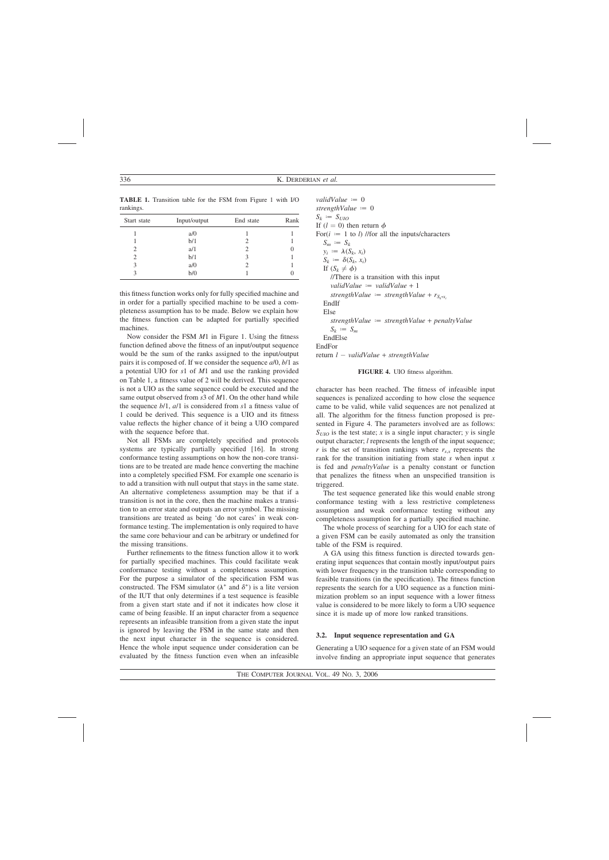| ັ           |              |           |      |
|-------------|--------------|-----------|------|
| Start state | Input/output | End state | Rank |
|             | a/0          |           |      |
|             | b/1          |           |      |
| 2           | a/1          |           |      |
| 2           | b/1          | 3         |      |
| 3           | a/0          |           |      |
| 3           | b/0          |           |      |
|             |              |           |      |

TABLE 1. Transition table for the FSM from Figure 1 with I/O rankings.

this fitness function works only for fully specified machine and in order for a partially specified machine to be used a completeness assumption has to be made. Below we explain how the fitness function can be adapted for partially specified machines.

Now consider the FSM *M*1 in Figure 1. Using the fitness function defined above the fitness of an input/output sequence would be the sum of the ranks assigned to the input/output pairs it is composed of. If we consider the sequence a/0, b/1 as a potential UIO for s1 of M1 and use the ranking provided on Table 1, a fitness value of 2 will be derived. This sequence is not a UIO as the same sequence could be executed and the same output observed from s3 of M1. On the other hand while the sequence  $b/1$ ,  $a/1$  is considered from s1 a fitness value of 1 could be derived. This sequence is a UIO and its fitness value reflects the higher chance of it being a UIO compared with the sequence before that.

Not all FSMs are completely specified and protocols systems are typically partially specified [16]. In strong conformance testing assumptions on how the non-core transitions are to be treated are made hence converting the machine into a completely specified FSM. For example one scenario is to add a transition with null output that stays in the same state. An alternative completeness assumption may be that if a transition is not in the core, then the machine makes a transition to an error state and outputs an error symbol. The missing transitions are treated as being 'do not cares' in weak conformance testing. The implementation is only required to have the same core behaviour and can be arbitrary or undefined for the missing transitions.

Further refinements to the fitness function allow it to work for partially specified machines. This could facilitate weak conformance testing without a completeness assumption. For the purpose a simulator of the specification FSM was constructed. The FSM simulator ( $\lambda^*$  and  $\delta^*$ ) is a lite version of the IUT that only determines if a test sequence is feasible from a given start state and if not it indicates how close it came of being feasible. If an input character from a sequence represents an infeasible transition from a given state the input is ignored by leaving the FSM in the same state and then the next input character in the sequence is considered. Hence the whole input sequence under consideration can be evaluated by the fitness function even when an infeasible

```
validValue = 0strengthValue = 0S_k := S_{UIO}If (l = 0) then return \phiFor(i := 1 to l) //for all the inputs/characters
  S_m := S_ky_i := \lambda(S_k, x_i)S_k := \delta(S_k, x_i)If (S_k \neq \phi)//There is a transition with this input
     validValue := validValue + 1
     strengthValue := strengthValue + r_{S_k,x_k}EndIf
  Else
     strengthValue := strengthValue + penaltyValueS_k := S_mEndElse
EndFor
return l – validValue + strengthValue
```


character has been reached. The fitness of infeasible input sequences is penalized according to how close the sequence came to be valid, while valid sequences are not penalized at all. The algorithm for the fitness function proposed is presented in Figure 4. The parameters involved are as follows:  $S_{UIO}$  is the test state; x is a single input character; y is single output character; l represents the length of the input sequence; r is the set of transition rankings where  $r_{s,x}$  represents the rank for the transition initiating from state s when input  $x$ is fed and penaltyValue is a penalty constant or function that penalizes the fitness when an unspecified transition is triggered.

The test sequence generated like this would enable strong conformance testing with a less restrictive completeness assumption and weak conformance testing without any completeness assumption for a partially specified machine.

The whole process of searching for a UIO for each state of a given FSM can be easily automated as only the transition table of the FSM is required.

A GA using this fitness function is directed towards generating input sequences that contain mostly input/output pairs with lower frequency in the transition table corresponding to feasible transitions (in the specification). The fitness function represents the search for a UIO sequence as a function minimization problem so an input sequence with a lower fitness value is considered to be more likely to form a UIO sequence since it is made up of more low ranked transitions.

#### 3.2. Input sequence representation and GA

Generating a UIO sequence for a given state of an FSM would involve finding an appropriate input sequence that generates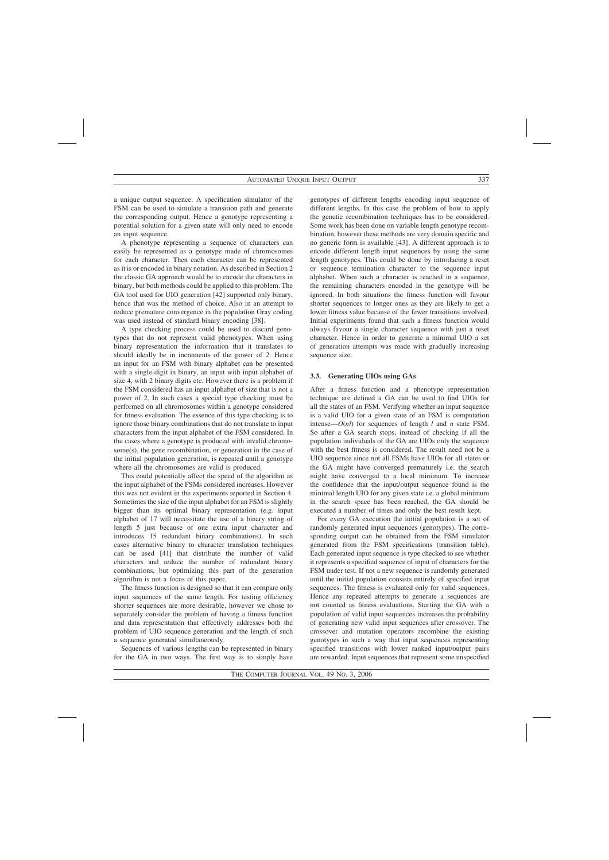a unique output sequence. A specification simulator of the FSM can be used to simulate a transition path and generate the corresponding output. Hence a genotype representing a potential solution for a given state will only need to encode an input sequence.

A phenotype representing a sequence of characters can easily be represented as a genotype made of chromosomes for each character. Then each character can be represented as it is or encoded in binary notation. As described in Section 2 the classic GA approach would be to encode the characters in binary, but both methods could be applied to this problem. The GA tool used for UIO generation [42] supported only binary, hence that was the method of choice. Also in an attempt to reduce premature convergence in the population Gray coding was used instead of standard binary encoding [38].

A type checking process could be used to discard genotypes that do not represent valid phenotypes. When using binary representation the information that it translates to should ideally be in increments of the power of 2. Hence an input for an FSM with binary alphabet can be presented with a single digit in binary, an input with input alphabet of size 4, with 2 binary digits etc. However there is a problem if the FSM considered has an input alphabet of size that is not a power of 2. In such cases a special type checking must be performed on all chromosomes within a genotype considered for fitness evaluation. The essence of this type checking is to ignore those binary combinations that do not translate to input characters from the input alphabet of the FSM considered. In the cases where a genotype is produced with invalid chromosome(s), the gene recombination, or generation in the case of the initial population generation, is repeated until a genotype where all the chromosomes are valid is produced.

This could potentially affect the speed of the algorithm as the input alphabet of the FSMs considered increases. However this was not evident in the experiments reported in Section 4. Sometimes the size of the input alphabet for an FSM is slightly bigger than its optimal binary representation (e.g. input alphabet of 17 will necessitate the use of a binary string of length 5 just because of one extra input character and introduces 15 redundant binary combinations). In such cases alternative binary to character translation techniques can be used [41] that distribute the number of valid characters and reduce the number of redundant binary combinations, but optimizing this part of the generation algorithm is not a focus of this paper.

The fitness function is designed so that it can compare only input sequences of the same length. For testing efficiency shorter sequences are more desirable, however we chose to separately consider the problem of having a fitness function and data representation that effectively addresses both the problem of UIO sequence generation and the length of such a sequence generated simultaneously.

Sequences of various lengths can be represented in binary for the GA in two ways. The first way is to simply have

genotypes of different lengths encoding input sequence of different lengths. In this case the problem of how to apply the genetic recombination techniques has to be considered. Some work has been done on variable length genotype recombination, however these methods are very domain specific and no generic form is available [43]. A different approach is to encode different length input sequences by using the same length genotypes. This could be done by introducing a reset or sequence termination character to the sequence input alphabet. When such a character is reached in a sequence, the remaining characters encoded in the genotype will be ignored. In both situations the fitness function will favour shorter sequences to longer ones as they are likely to get a lower fitness value because of the fewer transitions involved. Initial experiments found that such a fitness function would always favour a single character sequence with just a reset character. Hence in order to generate a minimal UIO a set of generation attempts was made with gradually increasing sequence size.

# 3.3. Generating UIOs using GAs

After a fitness function and a phenotype representation technique are defined a GA can be used to find UIOs for all the states of an FSM. Verifying whether an input sequence is a valid UIO for a given state of an FSM is computation intense— $O(nl)$  for sequences of length l and n state FSM. So after a GA search stops, instead of checking if all the population individuals of the GA are UIOs only the sequence with the best fitness is considered. The result need not be a UIO sequence since not all FSMs have UIOs for all states or the GA might have converged prematurely i.e. the search might have converged to a local minimum. To increase the confidence that the input/output sequence found is the minimal length UIO for any given state i.e. a global minimum in the search space has been reached, the GA should be executed a number of times and only the best result kept.

For every GA execution the initial population is a set of randomly generated input sequences (genotypes). The corresponding output can be obtained from the FSM simulator generated from the FSM specifications (transition table). Each generated input sequence is type checked to see whether it represents a specified sequence of input of characters for the FSM under test. If not a new sequence is randomly generated until the initial population consists entirely of specified input sequences. The fitness is evaluated only for valid sequences. Hence any repeated attempts to generate a sequences are not counted as fitness evaluations. Starting the GA with a population of valid input sequences increases the probability of generating new valid input sequences after crossover. The crossover and mutation operators recombine the existing genotypes in such a way that input sequences representing specified transitions with lower ranked input/output pairs are rewarded. Input sequences that represent some unspecified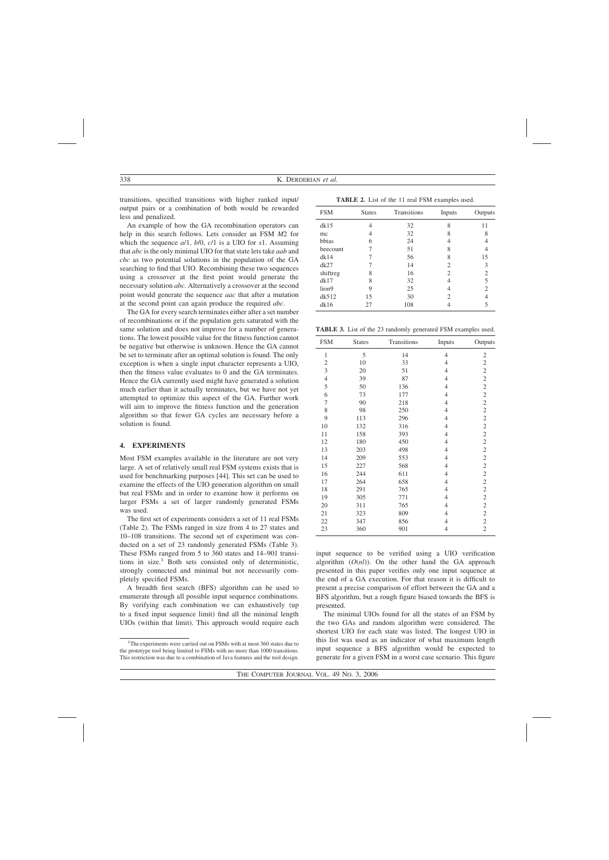transitions, specified transitions with higher ranked input/ output pairs or a combination of both would be rewarded less and penalized.

An example of how the GA recombination operators can help in this search follows. Lets consider an FSM M2 for which the sequence  $a/1$ ,  $b/0$ ,  $c/1$  is a UIO for s1. Assuming that abc is the only minimal UIO for that state lets take aab and  $cbc$  as two potential solutions in the population of the GA searching to find that UIO. Recombining these two sequences using a crossover at the first point would generate the necessary solution abc. Alternatively a crossover at the second point would generate the sequence aac that after a mutation at the second point can again produce the required abc.

The GA for every search terminates either after a set number of recombinations or if the population gets saturated with the same solution and does not improve for a number of generations. The lowest possible value for the fitness function cannot be negative but otherwise is unknown. Hence the GA cannot be set to terminate after an optimal solution is found. The only exception is when a single input character represents a UIO, then the fitness value evaluates to 0 and the GA terminates. Hence the GA currently used might have generated a solution much earlier than it actually terminates, but we have not yet attempted to optimize this aspect of the GA. Further work will aim to improve the fitness function and the generation algorithm so that fewer GA cycles are necessary before a solution is found.

## 4. EXPERIMENTS

Most FSM examples available in the literature are not very large. A set of relatively small real FSM systems exists that is used for benchmarking purposes [44]. This set can be used to examine the effects of the UIO generation algorithm on small but real FSMs and in order to examine how it performs on larger FSMs a set of larger randomly generated FSMs was used.

The first set of experiments considers a set of 11 real FSMs (Table 2). The FSMs ranged in size from 4 to 27 states and 10–108 transitions. The second set of experiment was conducted on a set of 23 randomly generated FSMs (Table 3). These FSMs ranged from 5 to 360 states and 14–901 transitions in size.<sup>1</sup> Both sets consisted only of deterministic, strongly connected and minimal but not necessarily completely specified FSMs.

A breadth first search (BFS) algorithm can be used to enumerate through all possible input sequence combinations. By verifying each combination we can exhaustively (up to a fixed input sequence limit) find all the minimal length UIOs (within that limit). This approach would require each

| <b>FSM</b> | <b>States</b> | <b>Transitions</b> | Inputs | Outputs        |
|------------|---------------|--------------------|--------|----------------|
| dk15       | 4             | 32                 | 8      | 11             |
| mc         | 4             | 32                 | 8      | 8              |
| bbtas      | 6             | 24                 |        |                |
| beecount   | 7             | 51                 | 8      |                |
| dk14       |               | 56                 | 8      | 15             |
| dk27       |               | 14                 | 2      | 3              |
| shiftreg   | 8             | 16                 | 2      | $\overline{c}$ |
| dk17       | 8             | 32                 |        | 5              |
| lion9      | 9             | 25                 |        | $\overline{c}$ |
| dk512      | 15            | 30                 | 2      | 4              |
| dk16       | 27            | 108                |        |                |

TABLE 2. List of the 11 real FSM examples used.

TABLE 3. List of the 23 randomly generated FSM examples used.

| <b>FSM</b>     | <b>States</b> | Transitions           | Inputs         | Outputs                 |
|----------------|---------------|-----------------------|----------------|-------------------------|
| $\mathbf{1}$   | 5             | 14<br>$\overline{4}$  |                | $\mathfrak{2}$          |
| $\overline{c}$ | 10            | 33                    | $\overline{4}$ | $\overline{\mathbf{c}}$ |
| 3              | 20            | 51                    | $\overline{4}$ | $\overline{c}$          |
| 4              | 39            | 87                    | $\overline{4}$ | $\overline{c}$          |
| 5              | 50            | 136                   | 4              | $\overline{c}$          |
| 6              | 73            | 177                   | $\overline{4}$ | $\overline{c}$          |
| 7              | 90            | 218                   | $\overline{4}$ | $\overline{c}$          |
| 8              | 98            | 250                   | $\overline{4}$ | $\overline{c}$          |
| 9              | 113           | 296                   | 4              | $\sqrt{2}$              |
| 10             | 132           | 316<br>$\overline{4}$ |                | $\sqrt{2}$              |
| 11             | 158           | 393                   | 4              | $\sqrt{2}$              |
| 12             | 180           | 450                   | 4              | $\boldsymbol{2}$        |
| 13             | 203           | 498                   | 4              | $\frac{2}{2}$           |
| 14             | 209           | 553                   | 4              |                         |
| 15             | 227           | 568                   | 4              |                         |
| 16             | 244           | 611<br>4              |                | $\frac{2}{2}$           |
| 17             | 264           | 658<br>4              |                | $\overline{c}$          |
| 18             | 291           | 765                   | 4              | $\overline{c}$          |
| 19             | 305           | 771                   | 4              | $\overline{c}$          |
| 20             | 311           | 765                   | 4              | $\sqrt{2}$              |
| 21             | 323           | 809                   | $\overline{4}$ | $\sqrt{2}$              |
| 22             | 347           | 856                   | 4              | $\overline{c}$          |
| 23             | 360           | 901                   | $\overline{4}$ | $\sqrt{2}$              |

input sequence to be verified using a UIO verification algorithm  $(O(nl))$ . On the other hand the GA approach presented in this paper verifies only one input sequence at the end of a GA execution. For that reason it is difficult to present a precise comparison of effort between the GA and a BFS algorithm, but a rough figure biased towards the BFS is presented.

The minimal UIOs found for all the states of an FSM by the two GAs and random algorithm were considered. The shortest UIO for each state was listed. The longest UIO in this list was used as an indicator of what maximum length input sequence a BFS algorithm would be expected to generate for a given FSM in a worst case scenario. This figure

<sup>&</sup>lt;sup>1</sup>The experiments were carried out on FSMs with at most 360 states due to the prototype tool being limited to FSMs with no more than 1000 transitions. This restriction was due to a combination of Java features and the tool design.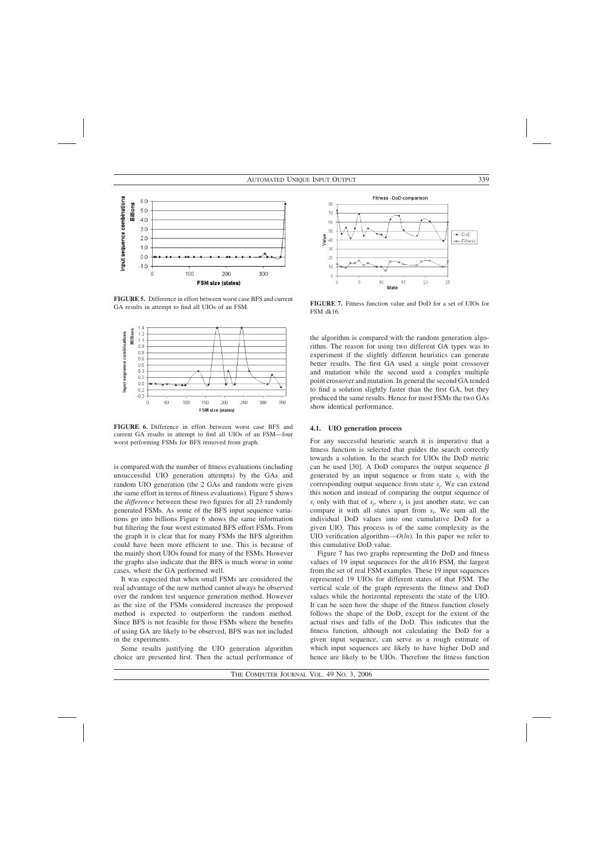

FIGURE 5. Difference in effort between worst case BFS and current GA results in attempt to find all UIOs of an FSM.



FIGURE 6. Difference in effort between worst case BFS and current GA results in attempt to find all UIOs of an FSM—four worst performing FSMs for BFS removed from graph.

is compared with the number of fitness evaluations (including unsuccessful UIO generation attempts) by the GAs and random UIO generation (the 2 GAs and random were given the same effort in terms of fitness evaluations). Figure 5 shows the difference between these two figures for all 23 randomly generated FSMs. As some of the BFS input sequence variations go into billions Figure 6 shows the same information but filtering the four worst estimated BFS effort FSMs. From the graph it is clear that for many FSMs the BFS algorithm could have been more efficient to use. This is because of the mainly short UIOs found for many of the FSMs. However the graphs also indicate that the BFS is much worse in some cases, where the GA performed well.

It was expected that when small FSMs are considered the real advantage of the new method cannot always be observed over the random test sequence generation method. However as the size of the FSMs considered increases the proposed method is expected to outperform the random method. Since BFS is not feasible for those FSMs where the benefits of using GA are likely to be observed, BFS was not included in the experiments.

Some results justifying the UIO generation algorithm choice are presented first. Then the actual performance of



FIGURE 7. Fitness function value and DoD for a set of UIOs for FSM dk16.

the algorithm is compared with the random generation algorithm. The reason for using two different GA types was to experiment if the slightly different heuristics can generate better results. The first GA used a single point crossover and mutation while the second used a complex multiple point crossover and mutation. In general the second GA tended to find a solution slightly faster than the first GA, but they produced the same results. Hence for most FSMs the two GAs show identical performance.

## 4.1. UIO generation process

For any successful heuristic search it is imperative that a fitness function is selected that guides the search correctly towards a solution. In the search for UIOs the DoD metric can be used [30]. A DoD compares the output sequence  $\beta$ generated by an input sequence  $\alpha$  from state  $s_i$  with the corresponding output sequence from state  $s_i$ . We can extend this notion and instead of comparing the output sequence of  $s_i$  only with that of  $s_j$ , where  $s_j$  is just another state, we can compare it with all states apart from  $s_i$ . We sum all the individual DoD values into one cumulative DoD for a given UIO. This process is of the same complexity as the UIO verification algorithm— $O(ln)$ . In this paper we refer to this cumulative DoD value.

Figure 7 has two graphs representing the DoD and fitness values of 19 input sequences for the  $dk16$  FSM, the largest from the set of real FSM examples. These 19 input sequences represented 19 UIOs for different states of that FSM. The vertical scale of the graph represents the fitness and DoD values while the horizontal represents the state of the UIO. It can be seen how the shape of the fitness function closely follows the shape of the DoD, except for the extent of the actual rises and falls of the DoD. This indicates that the fitness function, although not calculating the DoD for a given input sequence, can serve as a rough estimate of which input sequences are likely to have higher DoD and hence are likely to be UIOs. Therefore the fitness function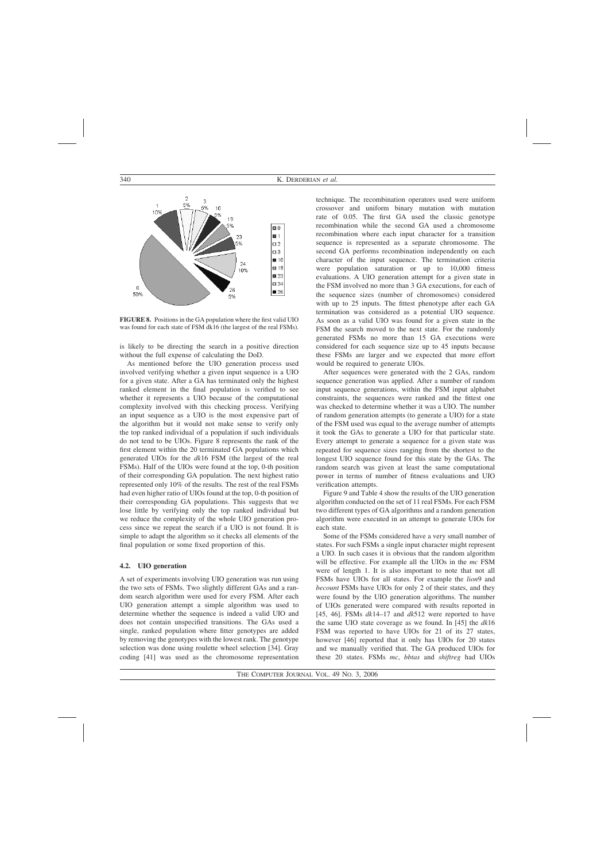

FIGURE 8. Positions in the GA population where the first valid UIO was found for each state of FSM dk16 (the largest of the real FSMs).

is likely to be directing the search in a positive direction without the full expense of calculating the DoD.

As mentioned before the UIO generation process used involved verifying whether a given input sequence is a UIO for a given state. After a GA has terminated only the highest ranked element in the final population is verified to see whether it represents a UIO because of the computational complexity involved with this checking process. Verifying an input sequence as a UIO is the most expensive part of the algorithm but it would not make sense to verify only the top ranked individual of a population if such individuals do not tend to be UIOs. Figure 8 represents the rank of the first element within the 20 terminated GA populations which generated UIOs for the dk16 FSM (the largest of the real FSMs). Half of the UIOs were found at the top, 0-th position of their corresponding GA population. The next highest ratio represented only 10% of the results. The rest of the real FSMs had even higher ratio of UIOs found at the top, 0-th position of their corresponding GA populations. This suggests that we lose little by verifying only the top ranked individual but we reduce the complexity of the whole UIO generation process since we repeat the search if a UIO is not found. It is simple to adapt the algorithm so it checks all elements of the final population or some fixed proportion of this.

## 4.2. UIO generation

A set of experiments involving UIO generation was run using the two sets of FSMs. Two slightly different GAs and a random search algorithm were used for every FSM. After each UIO generation attempt a simple algorithm was used to determine whether the sequence is indeed a valid UIO and does not contain unspecified transitions. The GAs used a single, ranked population where fitter genotypes are added by removing the genotypes with the lowest rank. The genotype selection was done using roulette wheel selection [34]. Gray coding [41] was used as the chromosome representation technique. The recombination operators used were uniform crossover and uniform binary mutation with mutation rate of 0.05. The first GA used the classic genotype recombination while the second GA used a chromosome recombination where each input character for a transition sequence is represented as a separate chromosome. The second GA performs recombination independently on each character of the input sequence. The termination criteria were population saturation or up to 10,000 fitness evaluations. A UIO generation attempt for a given state in the FSM involved no more than 3 GA executions, for each of the sequence sizes (number of chromosomes) considered with up to 25 inputs. The fittest phenotype after each GA termination was considered as a potential UIO sequence. As soon as a valid UIO was found for a given state in the FSM the search moved to the next state. For the randomly generated FSMs no more than 15 GA executions were considered for each sequence size up to 45 inputs because these FSMs are larger and we expected that more effort would be required to generate UIOs.

After sequences were generated with the 2 GAs, random sequence generation was applied. After a number of random input sequence generations, within the FSM input alphabet constraints, the sequences were ranked and the fittest one was checked to determine whether it was a UIO. The number of random generation attempts (to generate a UIO) for a state of the FSM used was equal to the average number of attempts it took the GAs to generate a UIO for that particular state. Every attempt to generate a sequence for a given state was repeated for sequence sizes ranging from the shortest to the longest UIO sequence found for this state by the GAs. The random search was given at least the same computational power in terms of number of fitness evaluations and UIO verification attempts.

Figure 9 and Table 4 show the results of the UIO generation algorithm conducted on the set of 11 real FSMs. For each FSM two different types of GA algorithms and a random generation algorithm were executed in an attempt to generate UIOs for each state.

Some of the FSMs considered have a very small number of states. For such FSMs a single input character might represent a UIO. In such cases it is obvious that the random algorithm will be effective. For example all the UIOs in the mc FSM were of length 1. It is also important to note that not all FSMs have UIOs for all states. For example the lion9 and becount FSMs have UIOs for only 2 of their states, and they were found by the UIO generation algorithms. The number of UIOs generated were compared with results reported in [45, 46]. FSMs  $dk14-17$  and  $dk512$  were reported to have the same UIO state coverage as we found. In  $[45]$  the  $dk16$ FSM was reported to have UIOs for 21 of its 27 states, however [46] reported that it only has UIOs for 20 states and we manually verified that. The GA produced UIOs for these 20 states. FSMs mc, bbtas and shiftreg had UIOs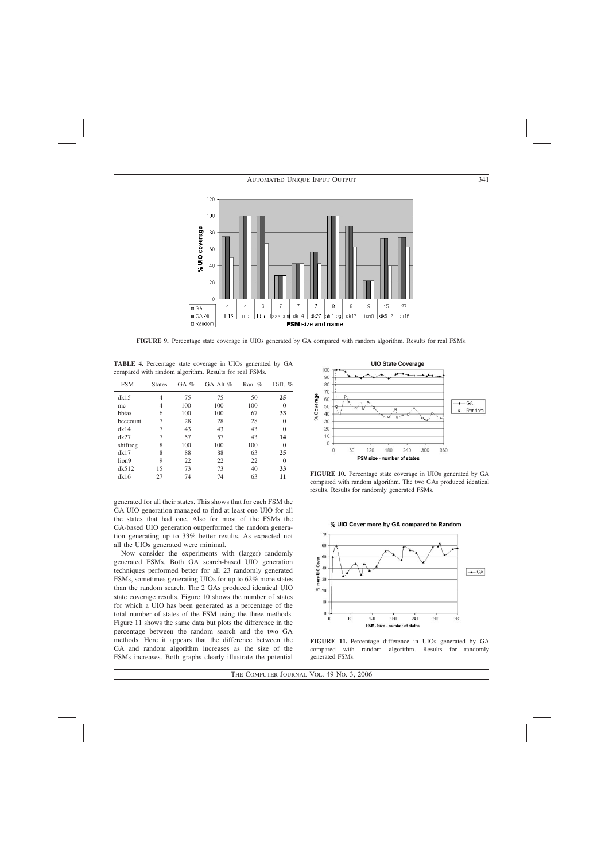

FIGURE 9. Percentage state coverage in UIOs generated by GA compared with random algorithm. Results for real FSMs.

| compared with random algorithm. Results for real FSMs. |               |        |            |          |                  |
|--------------------------------------------------------|---------------|--------|------------|----------|------------------|
| <b>FSM</b>                                             | <b>States</b> | $GA\%$ | GA Alt $%$ | Ran. $%$ | Diff. $%$        |
| dk15                                                   | 4             | 75     | 75         | 50       | 25               |
| mc                                                     | 4             | 100    | 100        | 100      | $\left( \right)$ |
| bbtas                                                  | 6             | 100    | 100        | 67       | 33               |
| beecount                                               | 7             | 28     | 28         | 28       |                  |
| dk14                                                   | 7             | 43     | 43         | 43       |                  |
| dk27                                                   |               | 57     | 57         | 43       | 14               |
| shiftreg                                               | 8             | 100    | 100        | 100      | $\left( \right)$ |
| dk17                                                   | 8             | 88     | 88         | 63       | 25               |
| lion9                                                  | 9             | 22     | 22         | 22       | 0                |
| dk512                                                  | 15            | 73     | 73         | 40       | 33               |
| dk16                                                   | 27            | 74     | 74         | 63       | 11               |

TABLE 4. Percentage state coverage in UIOs generated by GA

generated for all their states. This shows that for each FSM the GA UIO generation managed to find at least one UIO for all the states that had one. Also for most of the FSMs the GA-based UIO generation outperformed the random generation generating up to 33% better results. As expected not all the UIOs generated were minimal.

Now consider the experiments with (larger) randomly generated FSMs. Both GA search-based UIO generation techniques performed better for all 23 randomly generated FSMs, sometimes generating UIOs for up to 62% more states than the random search. The 2 GAs produced identical UIO state coverage results. Figure 10 shows the number of states for which a UIO has been generated as a percentage of the total number of states of the FSM using the three methods. Figure 11 shows the same data but plots the difference in the percentage between the random search and the two GA methods. Here it appears that the difference between the GA and random algorithm increases as the size of the FSMs increases. Both graphs clearly illustrate the potential



FIGURE 10. Percentage state coverage in UIOs generated by GA compared with random algorithm. The two GAs produced identical results. Results for randomly generated FSMs.



FIGURE 11. Percentage difference in UIOs generated by GA compared with random algorithm. Results for randomly generated FSMs.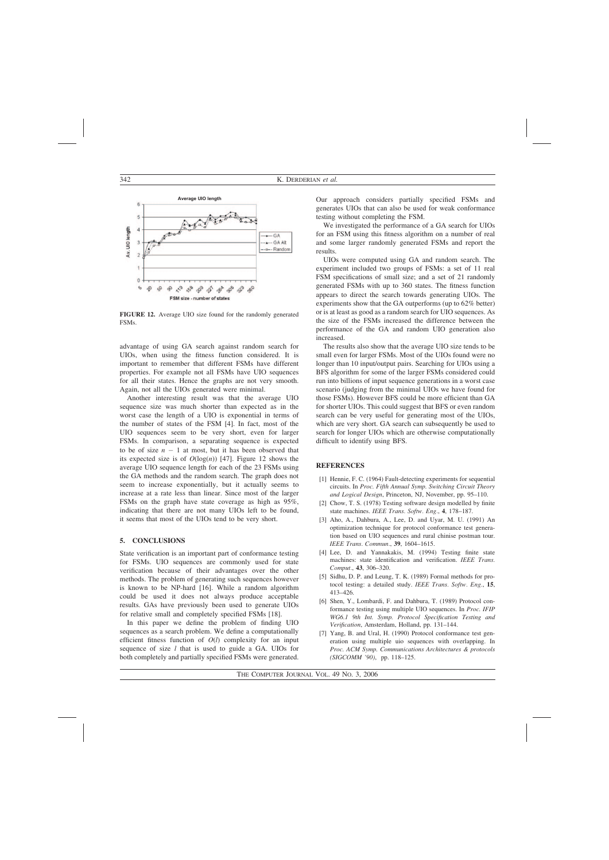

FIGURE 12. Average UIO size found for the randomly generated FSMs.

advantage of using GA search against random search for UIOs, when using the fitness function considered. It is important to remember that different FSMs have different properties. For example not all FSMs have UIO sequences for all their states. Hence the graphs are not very smooth. Again, not all the UIOs generated were minimal.

Another interesting result was that the average UIO sequence size was much shorter than expected as in the worst case the length of a UIO is exponential in terms of the number of states of the FSM [4]. In fact, most of the UIO sequences seem to be very short, even for larger FSMs. In comparison, a separating sequence is expected to be of size  $n - 1$  at most, but it has been observed that its expected size is of  $O(log(n))$  [47]. Figure 12 shows the average UIO sequence length for each of the 23 FSMs using the GA methods and the random search. The graph does not seem to increase exponentially, but it actually seems to increase at a rate less than linear. Since most of the larger FSMs on the graph have state coverage as high as 95%, indicating that there are not many UIOs left to be found, it seems that most of the UIOs tend to be very short.

## 5. CONCLUSIONS

State verification is an important part of conformance testing for FSMs. UIO sequences are commonly used for state verification because of their advantages over the other methods. The problem of generating such sequences however is known to be NP-hard [16]. While a random algorithm could be used it does not always produce acceptable results. GAs have previously been used to generate UIOs for relative small and completely specified FSMs [18].

In this paper we define the problem of finding UIO sequences as a search problem. We define a computationally efficient fitness function of  $O(l)$  complexity for an input sequence of size *l* that is used to guide a GA. UIOs for both completely and partially specified FSMs were generated. Our approach considers partially specified FSMs and generates UIOs that can also be used for weak conformance testing without completing the FSM.

We investigated the performance of a GA search for UIOs for an FSM using this fitness algorithm on a number of real and some larger randomly generated FSMs and report the results.

UIOs were computed using GA and random search. The experiment included two groups of FSMs: a set of 11 real FSM specifications of small size; and a set of 21 randomly generated FSMs with up to 360 states. The fitness function appears to direct the search towards generating UIOs. The experiments show that the GA outperforms (up to 62% better) or is at least as good as a random search for UIO sequences. As the size of the FSMs increased the difference between the performance of the GA and random UIO generation also increased.

The results also show that the average UIO size tends to be small even for larger FSMs. Most of the UIOs found were no longer than 10 input/output pairs. Searching for UIOs using a BFS algorithm for some of the larger FSMs considered could run into billions of input sequence generations in a worst case scenario (judging from the minimal UIOs we have found for those FSMs). However BFS could be more efficient than GA for shorter UIOs. This could suggest that BFS or even random search can be very useful for generating most of the UIOs, which are very short. GA search can subsequently be used to search for longer UIOs which are otherwise computationally difficult to identify using BFS.

#### **REFERENCES**

- [1] Hennie, F. C. (1964) Fault-detecting experiments for sequential circuits. In Proc. Fifth Annual Symp. Switching Circuit Theory and Logical Design, Princeton, NJ, November, pp. 95–110.
- [2] Chow, T. S. (1978) Testing software design modelled by finite state machines. IEEE Trans. Softw. Eng., 4, 178–187.
- [3] Aho, A., Dahbura, A., Lee, D. and Uyar, M. U. (1991) An optimization technique for protocol conformance test generation based on UIO sequences and rural chinise postman tour. IEEE Trans. Commun., 39, 1604–1615.
- [4] Lee, D. and Yannakakis, M. (1994) Testing finite state machines: state identification and verification. IEEE Trans. Comput., 43, 306–320.
- [5] Sidhu, D. P. and Leung, T. K. (1989) Formal methods for protocol testing: a detailed study. IEEE Trans. Softw. Eng., 15, 413–426.
- [6] Shen, Y., Lombardi, F. and Dahbura, T. (1989) Protocol conformance testing using multiple UIO sequences. In Proc. IFIP WG6.1 9th Int. Symp. Protocol Specification Testing and Verification, Amsterdam, Holland, pp. 131–144.
- [7] Yang, B. and Ural, H. (1990) Protocol conformance test generation using multiple uio sequences with overlapping. In Proc. ACM Symp. Communications Architectures & protocols (SIGCOMM '90), pp. 118–125.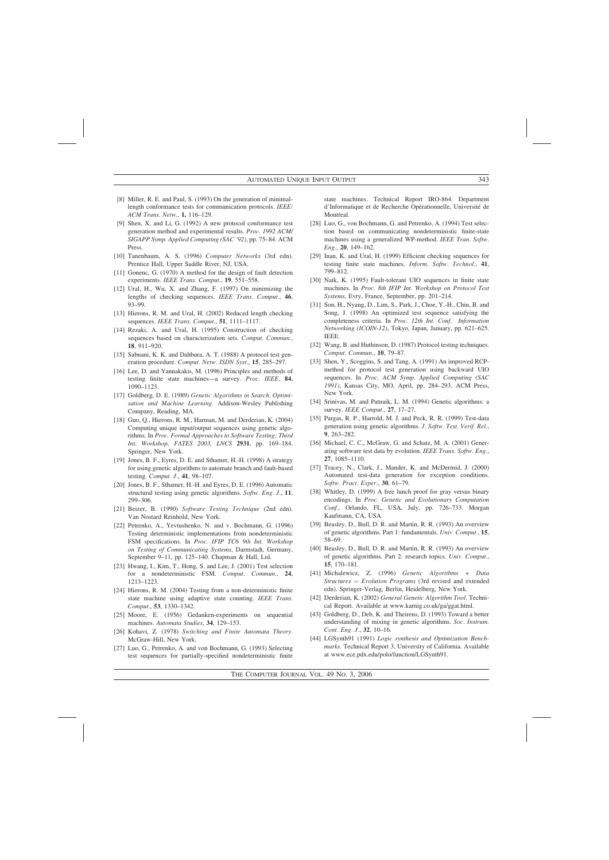- [8] Miller, R. E. and Paul, S. (1993) On the generation of minimallength conformance tests for communication protocols. IEEE/ ACM Trans. Netw., 1, 116–129.
- [9] Shen, X. and Li, G. (1992) A new protocol conformance test generation method and experimental results. Proc. 1992 ACM/ SIGAPP Symp. Applied Computing (SAC '92), pp. 75–84. ACM Press.
- [10] Tanenbaum, A. S. (1996) Computer Networks (3rd edn). Prentice Hall, Upper Saddle River, NJ, USA.
- [11] Gonenc, G. (1970) A method for the design of fault detection experiments. IEEE Trans. Comput., 19, 551-558.
- [12] Ural, H., Wu, X. and Zhang, F. (1997) On minimizing the lengths of checking sequences. IEEE Trans. Comput., 46, 93–99.
- [13] Hierons, R. M. and Ural, H. (2002) Reduced length checking sequences. IEEE Trans. Comput., 51, 1111-1117.
- [14] Rezaki, A. and Ural, H. (1995) Construction of checking sequences based on characterization sets. Comput. Commun., 18, 911–920.
- [15] Sabnani, K. K. and Dahbura, A. T. (1988) A protocol test generation procedure. Comput. Netw. ISDN Syst., 15, 285-297.
- [16] Lee, D. and Yannakakis, M. (1996) Principles and methods of testing finite state machines—a survey. Proc. IEEE, 84, 1090–1123.
- [17] Goldberg, D. E. (1989) Genetic Algorithms in Search, Optimisation and Machine Learning. Addison-Wesley Publishing Company, Reading, MA.
- [18] Guo, Q., Hierons, R. M., Harman, M. and Derderian, K. (2004) Computing unique input/output sequences using genetic algorithms. In Proc. Formal Approaches to Software Testing: Third Int. Workshop, FATES 2003, LNCS 2931, pp. 169–184. Springer, New York.
- [19] Jones, B. F., Eyres, D. E. and Sthamer, H.-H. (1998) A strategy for using genetic algorithms to automate branch and fault-based testing. Comput. J., 41, 98–107.
- [20] Jones, B. F., Sthamer, H.-H. and Eyres, D. E. (1996) Automatic structural testing using genetic algorithms. Softw. Eng. J., 11, 299–306.
- [21] Beizer, B. (1990) Software Testing Technique (2nd edn). Van Nostard Reinhold, New York.
- [22] Petrenko, A., Yevtushenko, N. and v. Bochmann, G. (1996) Testing deterministic implementations from nondeterministic FSM specifications. In Proc. IFIP TC6 9th Int. Workshop on Testing of Communicating Systems, Darmstadt, Germany, September 9–11, pp. 125–140. Chapman & Hall, Ltd.
- [23] Hwang, I., Kim, T., Hong, S. and Lee, J. (2001) Test selection for a nondeterministic FSM. Comput. Commun., 24, 1213–1223.
- [24] Hierons, R. M. (2004) Testing from a non-deterministic finite state machine using adaptive state counting. IEEE Trans. Comput., 53, 1330–1342.
- [25] Moore, E. (1956) Gedanken-experiments on sequential machines. Automata Studies, 34, 129–153.
- [26] Kohavi, Z. (1978) Switching and Finite Automata Theory. McGraw-Hill, New York.
- [27] Luo, G., Petrenko, A. and von Bochmann, G. (1993) Selecting test sequences for partially-specified nondeterministic finite

state machines. Technical Report IRO-864. Department d'Informatique et de Recherche Opérationnelle, Université de Montreal.

- [28] Luo, G., von Bochmann, G. and Petrenko, A. (1994) Test selection based on communicating nondeterministic finite-state machines using a generalized WP-method. IEEE Tran. Softw. Eng., 20, 149–162.
- [29] Inan, K. and Ural, H. (1999) Efficient checking sequences for testing finite state machines. Inform. Softw. Technol., 41, 799–812.
- [30] Naik, K. (1995) Fault-tolerant UIO sequences in finite state machines. In Proc. 8th IFIP Int. Workshop on Protocol Test Systems, Evry, France, September, pp. 201–214.
- [31] Son, H., Nyang, D., Lim, S., Park, J., Choe, Y.-H., Chin, B. and Song, J. (1998) An optimized test sequence satisfying the completeness criteria. In Proc. 12th Int. Conf. Information Networking (ICOIN-12), Tokyo, Japan, January, pp. 621–625. IEEE.
- [32] Wang, B. and Huthinson, D. (1987) Protocol testing techniques. Comput. Commun., 10, 79–87.
- [33] Shen, Y., Scoggins, S. and Tang, A. (1991) An improved RCPmethod for protocol test generation using backward UIO sequences. In Proc. ACM Symp. Applied Computing (SAC 1991), Kansas City, MO, April, pp. 284–293. ACM Press, New York.
- [34] Srinivas, M. and Patnaik, L. M. (1994) Genetic algorithms: a survey. IEEE Comput., 27, 17-27.
- [35] Pargas, R. P., Harrold, M. J. and Peck, R. R. (1999) Test-data generation using genetic algorithms. J. Softw. Test. Verif. Rel., 9, 263–282.
- [36] Michael, C. C., McGraw, G. and Schatz, M. A. (2001) Generating software test data by evolution. IEEE Trans. Softw. Eng., 27, 1085–1110.
- [37] Tracey, N., Clark, J., Mander, K. and McDermid, J. (2000) Automated test-data generation for exception conditions. Softw. Pract. Exper., 30, 61–79.
- [38] Whitley, D. (1999) A free lunch proof for gray versus binary encodings. In Proc. Genetic and Evolutionary Computation Conf., Orlando, FL, USA, July, pp. 726–733. Morgan Kaufmann, CA, USA.
- [39] Beasley, D., Bull, D. R. and Martin, R. R. (1993) An overview of genetic algorithms. Part 1: fundamentals. Univ. Comput., 15, 58–69.
- [40] Beasley, D., Bull, D. R. and Martin, R. R. (1993) An overview of genetic algorithms. Part 2: research topics. Univ. Comput., 15, 170–181.
- [41] Michalewicz, Z. (1996) Genetic Algorithms + Data  $Structures = Evolution Programs$  (3rd revised and extended edn). Springer-Verlag, Berlin, Heidelberg, New York.
- [42] Derderian, K. (2002) General Genetic Algorithm Tool. Technical Report. Available at www.karnig.co.uk/ga/ggat.html.
- [43] Goldberg, D., Deb, K. and Theirens, D. (1993) Toward a better understanding of mixing in genetic algorithms. Soc. Instrum. Cont. Eng. J., 32, 10-16.
- [44] LGSynth91 (1991) Logic synthesis and Optimization Benchmarks. Technical Report 3, University of California. Available at www.ece.pdx.edu/polo/function/LGSynth91.